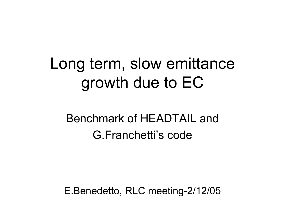## Long term, slow emittance growth due to EC

#### Benchmark of HEADTAIL andG.Franchetti's code

E.Benedetto, RLC meeting-2/12/05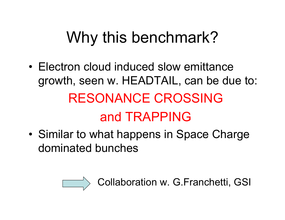# Why this benchmark?

- Electron cloud induced slow emittance growth, seen w. HEADTAIL, can be due to: RESONANCE CROSSING and TRAPPING
- •• Similar to what happens in Space Charge dominated bunches



Collaboration w. G.Franchetti, GSI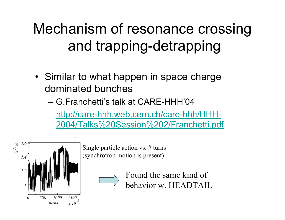### Mechanism of resonance crossing and trapping-detrapping

- Similar to what happen in space charge dominated bunches
	- G.Franchetti's talk at CARE-HHH'04 [http://care-hhh.web.cern.ch/care-hhh/HHH-](http://care-hhh.web.cern.ch/care-hhh/HHH-2004/Talks Session 2/Franchetti.pdf)[2004/Talks%20Session%202/Franchetti.pdf](http://care-hhh.web.cern.ch/care-hhh/HHH-2004/Talks Session 2/Franchetti.pdf)



Single particle action vs. # turns (synchrotron motion is present)

> Found the same kind of behavior w. HEADTAIL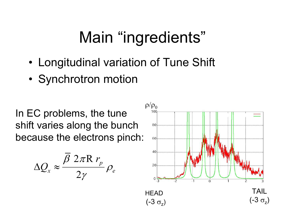## Main "ingredients"

- •Longitudinal variation of Tune Shift
- •• Synchrotron motion

In EC problems, the tune shift varies along the bunch because the electrons pinch:



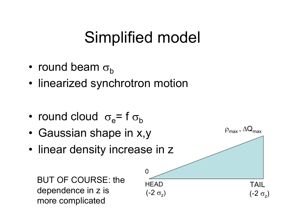## Simplified model

- •• round beam  $\sigma_{\text{b}}$
- linearized synchrotron motion

- •• round cloud  $\sigma_{\rm e}$ = f  $\sigma_{\rm b}$
- •Gaussian shape in x,y
- linear density increase in z

BUT OF COURSE: the dependence in z is more complicated

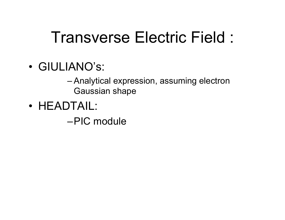### Transverse Electric Field :

•GIULIANO's:

– Analytical expression, assuming electron Gaussian shape

• HEADTAIL:

–PIC module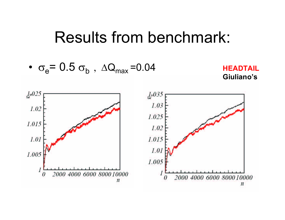$$
\bullet \ \sigma_e = 0.5 \ \sigma_b \ , \ \Delta Q_{max} = 0.04
$$



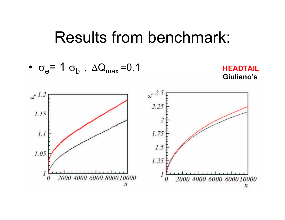$$
\bullet \ \sigma_e = 1 \ \sigma_b \ , \ \Delta Q_{\text{max}} = 0.1
$$



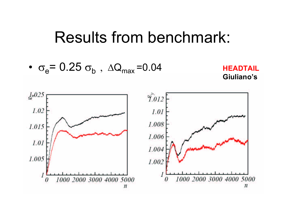• $\bullet$   $\sigma_{\rm e}$  = 0.25  $\sigma_{\rm b}$  ,  $\Delta Q_{\rm max}$  =0.04 **HEADTAIL** 



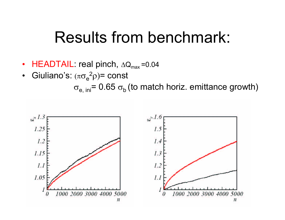- $\,$  HEADTAIL: real pinch,  $\Delta \mathsf{Q}_{\mathsf{max}}$ =0.04
- •• Giuliano's:  $(\pi \sigma_e^2 \rho)$ = const

 $\sigma_{\mathsf{e},\; \mathsf{ini}}$ = 0.65  $\sigma_{\mathsf{b}}$  (to match horiz. emittance growth)